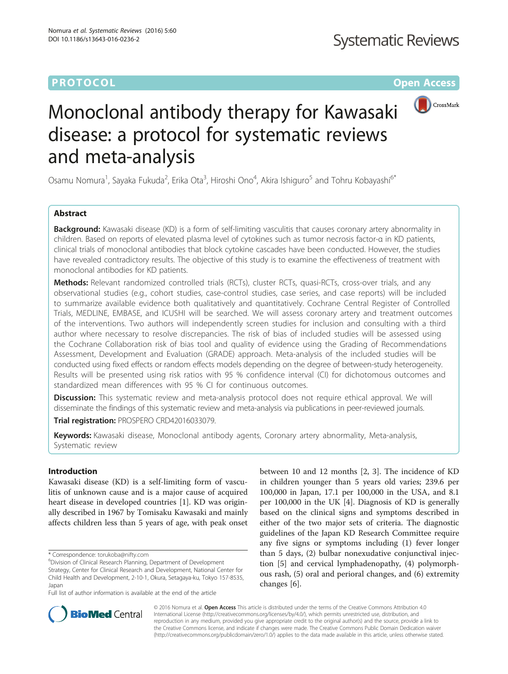# **PROTOCOL CONSUMING THE CONSUMING TEACHER CONSUMING THE CONSUMING TEACHER CONSUMING THE CONSUMING TEACHER CONSUMING**



# Monoclonal antibody therapy for Kawasaki disease: a protocol for systematic reviews and meta-analysis

Osamu Nomura<sup>1</sup>, Sayaka Fukuda<sup>2</sup>, Erika Ota<sup>3</sup>, Hiroshi Ono<sup>4</sup>, Akira Ishiguro<sup>5</sup> and Tohru Kobayashi<sup>6\*</sup>

# Abstract

**Background:** Kawasaki disease (KD) is a form of self-limiting vasculitis that causes coronary artery abnormality in children. Based on reports of elevated plasma level of cytokines such as tumor necrosis factor-α in KD patients, clinical trials of monoclonal antibodies that block cytokine cascades have been conducted. However, the studies have revealed contradictory results. The objective of this study is to examine the effectiveness of treatment with monoclonal antibodies for KD patients.

Methods: Relevant randomized controlled trials (RCTs), cluster RCTs, quasi-RCTs, cross-over trials, and any observational studies (e.g., cohort studies, case-control studies, case series, and case reports) will be included to summarize available evidence both qualitatively and quantitatively. Cochrane Central Register of Controlled Trials, MEDLINE, EMBASE, and ICUSHI will be searched. We will assess coronary artery and treatment outcomes of the interventions. Two authors will independently screen studies for inclusion and consulting with a third author where necessary to resolve discrepancies. The risk of bias of included studies will be assessed using the Cochrane Collaboration risk of bias tool and quality of evidence using the Grading of Recommendations Assessment, Development and Evaluation (GRADE) approach. Meta-analysis of the included studies will be conducted using fixed effects or random effects models depending on the degree of between-study heterogeneity. Results will be presented using risk ratios with 95 % confidence interval (CI) for dichotomous outcomes and standardized mean differences with 95 % CI for continuous outcomes.

Discussion: This systematic review and meta-analysis protocol does not require ethical approval. We will disseminate the findings of this systematic review and meta-analysis via publications in peer-reviewed journals.

Trial registration: PROSPERO [CRD42016033079](http://www.crd.york.ac.uk/PROSPERO/display_record.asp?ID=CRD42016033079).

Keywords: Kawasaki disease, Monoclonal antibody agents, Coronary artery abnormality, Meta-analysis, Systematic review

# Introduction

Kawasaki disease (KD) is a self-limiting form of vasculitis of unknown cause and is a major cause of acquired heart disease in developed countries [[1](#page-4-0)]. KD was originally described in 1967 by Tomisaku Kawasaki and mainly affects children less than 5 years of age, with peak onset

\* Correspondence: [torukoba@nifty.com](mailto:torukoba@nifty.com) <sup>6</sup>

Division of Clinical Research Planning, Department of Development Strategy, Center for Clinical Research and Development, National Center for Child Health and Development, 2-10-1, Okura, Setagaya-ku, Tokyo 157-8535, Japan

Full list of author information is available at the end of the article

between 10 and 12 months [[2, 3\]](#page-4-0). The incidence of KD in children younger than 5 years old varies; 239.6 per 100,000 in Japan, 17.1 per 100,000 in the USA, and 8.1 per 100,000 in the UK [[4\]](#page-4-0). Diagnosis of KD is generally based on the clinical signs and symptoms described in either of the two major sets of criteria. The diagnostic guidelines of the Japan KD Research Committee require any five signs or symptoms including (1) fever longer than 5 days, (2) bulbar nonexudative conjunctival injection [\[5](#page-4-0)] and cervical lymphadenopathy, (4) polymorphous rash, (5) oral and perioral changes, and (6) extremity changes [\[6](#page-4-0)].



© 2016 Nomura et al. Open Access This article is distributed under the terms of the Creative Commons Attribution 4.0 International License [\(http://creativecommons.org/licenses/by/4.0/](http://creativecommons.org/licenses/by/4.0/)), which permits unrestricted use, distribution, and reproduction in any medium, provided you give appropriate credit to the original author(s) and the source, provide a link to the Creative Commons license, and indicate if changes were made. The Creative Commons Public Domain Dedication waiver [\(http://creativecommons.org/publicdomain/zero/1.0/](http://creativecommons.org/publicdomain/zero/1.0/)) applies to the data made available in this article, unless otherwise stated.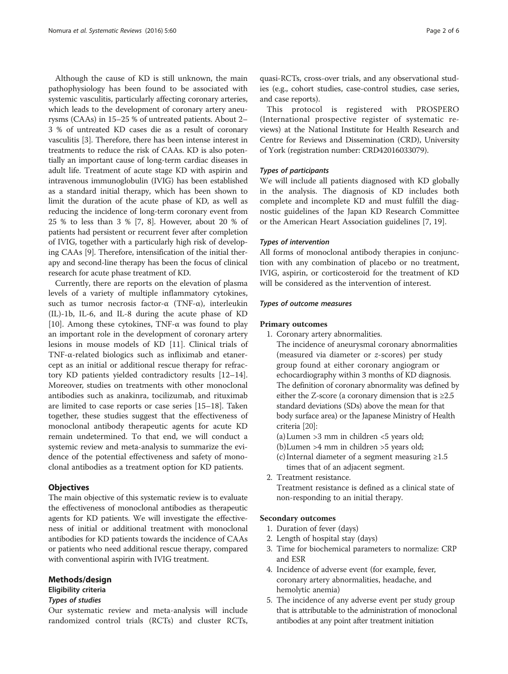Although the cause of KD is still unknown, the main pathophysiology has been found to be associated with systemic vasculitis, particularly affecting coronary arteries, which leads to the development of coronary artery aneurysms (CAAs) in 15–25 % of untreated patients. About 2– 3 % of untreated KD cases die as a result of coronary vasculitis [\[3\]](#page-4-0). Therefore, there has been intense interest in treatments to reduce the risk of CAAs. KD is also potentially an important cause of long-term cardiac diseases in adult life. Treatment of acute stage KD with aspirin and intravenous immunoglobulin (IVIG) has been established as a standard initial therapy, which has been shown to limit the duration of the acute phase of KD, as well as reducing the incidence of long-term coronary event from 25 % to less than 3 % [\[7, 8\]](#page-4-0). However, about 20 % of patients had persistent or recurrent fever after completion of IVIG, together with a particularly high risk of developing CAAs [\[9](#page-4-0)]. Therefore, intensification of the initial therapy and second-line therapy has been the focus of clinical research for acute phase treatment of KD.

Currently, there are reports on the elevation of plasma levels of a variety of multiple inflammatory cytokines, such as tumor necrosis factor-α (TNF-α), interleukin (IL)-1b, IL-6, and IL-8 during the acute phase of KD [[10\]](#page-4-0). Among these cytokines, TNF-α was found to play an important role in the development of coronary artery lesions in mouse models of KD [[11\]](#page-4-0). Clinical trials of TNF-α-related biologics such as infliximab and etanercept as an initial or additional rescue therapy for refractory KD patients yielded contradictory results [[12](#page-4-0)–[14](#page-5-0)]. Moreover, studies on treatments with other monoclonal antibodies such as anakinra, tocilizumab, and rituximab are limited to case reports or case series [\[15](#page-5-0)–[18](#page-5-0)]. Taken together, these studies suggest that the effectiveness of monoclonal antibody therapeutic agents for acute KD remain undetermined. To that end, we will conduct a systemic review and meta-analysis to summarize the evidence of the potential effectiveness and safety of monoclonal antibodies as a treatment option for KD patients.

#### **Objectives**

The main objective of this systematic review is to evaluate the effectiveness of monoclonal antibodies as therapeutic agents for KD patients. We will investigate the effectiveness of initial or additional treatment with monoclonal antibodies for KD patients towards the incidence of CAAs or patients who need additional rescue therapy, compared with conventional aspirin with IVIG treatment.

#### Methods/design

#### Eligibility criteria

# Types of studies

Our systematic review and meta-analysis will include randomized control trials (RCTs) and cluster RCTs,

quasi-RCTs, cross-over trials, and any observational studies (e.g., cohort studies, case-control studies, case series, and case reports).

This protocol is registered with PROSPERO (International prospective register of systematic reviews) at the National Institute for Health Research and Centre for Reviews and Dissemination (CRD), University of York (registration number: CRD42016033079).

## Types of participants

We will include all patients diagnosed with KD globally in the analysis. The diagnosis of KD includes both complete and incomplete KD and must fulfill the diagnostic guidelines of the Japan KD Research Committee or the American Heart Association guidelines [[7,](#page-4-0) [19](#page-5-0)].

#### Types of intervention

All forms of monoclonal antibody therapies in conjunction with any combination of placebo or no treatment, IVIG, aspirin, or corticosteroid for the treatment of KD will be considered as the intervention of interest.

#### Types of outcome measures

#### Primary outcomes

- 1. Coronary artery abnormalities.
	- The incidence of aneurysmal coronary abnormalities (measured via diameter or z-scores) per study group found at either coronary angiogram or echocardiography within 3 months of KD diagnosis. The definition of coronary abnormality was defined by either the Z-score (a coronary dimension that is  $\geq 2.5$ standard deviations (SDs) above the mean for that body surface area) or the Japanese Ministry of Health criteria [[20](#page-5-0)]:
	- (a)Lumen >3 mm in children <5 years old;
	- (b)Lumen >4 mm in children >5 years old;
	- (c) Internal diameter of a segment measuring  $\geq 1.5$ times that of an adjacent segment.
- 2. Treatment resistance. Treatment resistance is defined as a clinical state of non-responding to an initial therapy.

#### Secondary outcomes

- 1. Duration of fever (days)
- 2. Length of hospital stay (days)
- 3. Time for biochemical parameters to normalize: CRP and ESR
- 4. Incidence of adverse event (for example, fever, coronary artery abnormalities, headache, and hemolytic anemia)
- 5. The incidence of any adverse event per study group that is attributable to the administration of monoclonal antibodies at any point after treatment initiation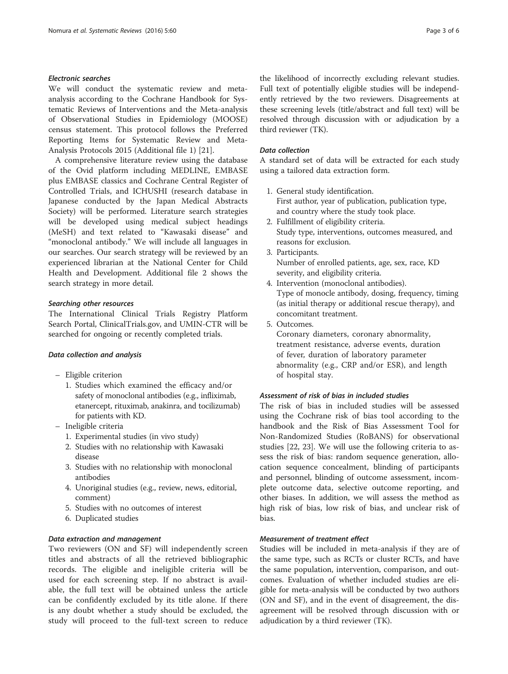#### Electronic searches

We will conduct the systematic review and metaanalysis according to the Cochrane Handbook for Systematic Reviews of Interventions and the Meta-analysis of Observational Studies in Epidemiology (MOOSE) census statement. This protocol follows the Preferred Reporting Items for Systematic Review and Meta-Analysis Protocols 2015 (Additional file [1\)](#page-4-0) [\[21](#page-5-0)].

A comprehensive literature review using the database of the Ovid platform including MEDLINE, EMBASE plus EMBASE classics and Cochrane Central Register of Controlled Trials, and ICHUSHI (research database in Japanese conducted by the Japan Medical Abstracts Society) will be performed. Literature search strategies will be developed using medical subject headings (MeSH) and text related to "Kawasaki disease" and "monoclonal antibody." We will include all languages in our searches. Our search strategy will be reviewed by an experienced librarian at the National Center for Child Health and Development. Additional file [2](#page-4-0) shows the search strategy in more detail.

#### Searching other resources

The International Clinical Trials Registry Platform Search Portal, ClinicalTrials.gov, and UMIN-CTR will be searched for ongoing or recently completed trials.

#### Data collection and analysis

- Eligible criterion
	- 1. Studies which examined the efficacy and/or safety of monoclonal antibodies (e.g., infliximab, etanercept, rituximab, anakinra, and tocilizumab) for patients with KD.
- Ineligible criteria
	- 1. Experimental studies (in vivo study)
	- 2. Studies with no relationship with Kawasaki disease
	- 3. Studies with no relationship with monoclonal antibodies
	- 4. Unoriginal studies (e.g., review, news, editorial, comment)
	- 5. Studies with no outcomes of interest
	- 6. Duplicated studies

# Data extraction and management

Two reviewers (ON and SF) will independently screen titles and abstracts of all the retrieved bibliographic records. The eligible and ineligible criteria will be used for each screening step. If no abstract is available, the full text will be obtained unless the article can be confidently excluded by its title alone. If there is any doubt whether a study should be excluded, the study will proceed to the full-text screen to reduce the likelihood of incorrectly excluding relevant studies. Full text of potentially eligible studies will be independently retrieved by the two reviewers. Disagreements at these screening levels (title/abstract and full text) will be resolved through discussion with or adjudication by a third reviewer (TK).

#### Data collection

A standard set of data will be extracted for each study using a tailored data extraction form.

- 1. General study identification. First author, year of publication, publication type, and country where the study took place.
- 2. Fulfillment of eligibility criteria. Study type, interventions, outcomes measured, and reasons for exclusion.
- 3. Participants. Number of enrolled patients, age, sex, race, KD severity, and eligibility criteria.
- 4. Intervention (monoclonal antibodies). Type of monocle antibody, dosing, frequency, timing (as initial therapy or additional rescue therapy), and concomitant treatment.
- 5. Outcomes.

Coronary diameters, coronary abnormality, treatment resistance, adverse events, duration of fever, duration of laboratory parameter abnormality (e.g., CRP and/or ESR), and length of hospital stay.

## Assessment of risk of bias in included studies

The risk of bias in included studies will be assessed using the Cochrane risk of bias tool according to the handbook and the Risk of Bias Assessment Tool for Non-Randomized Studies (RoBANS) for observational studies [\[22](#page-5-0), [23\]](#page-5-0). We will use the following criteria to assess the risk of bias: random sequence generation, allocation sequence concealment, blinding of participants and personnel, blinding of outcome assessment, incomplete outcome data, selective outcome reporting, and other biases. In addition, we will assess the method as high risk of bias, low risk of bias, and unclear risk of bias.

## Measurement of treatment effect

Studies will be included in meta-analysis if they are of the same type, such as RCTs or cluster RCTs, and have the same population, intervention, comparison, and outcomes. Evaluation of whether included studies are eligible for meta-analysis will be conducted by two authors (ON and SF), and in the event of disagreement, the disagreement will be resolved through discussion with or adjudication by a third reviewer (TK).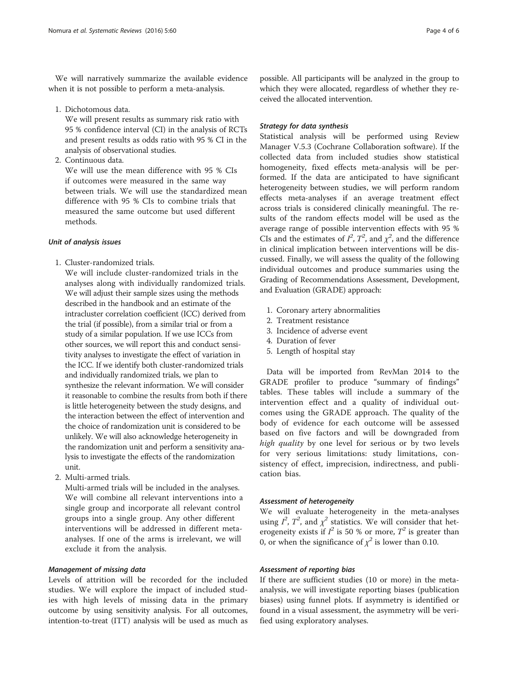We will narratively summarize the available evidence when it is not possible to perform a meta-analysis.

1. Dichotomous data.

We will present results as summary risk ratio with 95 % confidence interval (CI) in the analysis of RCTs and present results as odds ratio with 95 % CI in the analysis of observational studies.

2. Continuous data.

We will use the mean difference with 95 % CIs if outcomes were measured in the same way between trials. We will use the standardized mean difference with 95 % CIs to combine trials that measured the same outcome but used different methods.

#### Unit of analysis issues

1. Cluster-randomized trials.

We will include cluster-randomized trials in the analyses along with individually randomized trials. We will adjust their sample sizes using the methods described in the handbook and an estimate of the intracluster correlation coefficient (ICC) derived from the trial (if possible), from a similar trial or from a study of a similar population. If we use ICCs from other sources, we will report this and conduct sensitivity analyses to investigate the effect of variation in the ICC. If we identify both cluster-randomized trials and individually randomized trials, we plan to synthesize the relevant information. We will consider it reasonable to combine the results from both if there is little heterogeneity between the study designs, and the interaction between the effect of intervention and the choice of randomization unit is considered to be unlikely. We will also acknowledge heterogeneity in the randomization unit and perform a sensitivity analysis to investigate the effects of the randomization unit.

2. Multi-armed trials.

Multi-armed trials will be included in the analyses. We will combine all relevant interventions into a single group and incorporate all relevant control groups into a single group. Any other different interventions will be addressed in different metaanalyses. If one of the arms is irrelevant, we will exclude it from the analysis.

#### Management of missing data

Levels of attrition will be recorded for the included studies. We will explore the impact of included studies with high levels of missing data in the primary outcome by using sensitivity analysis. For all outcomes, intention-to-treat (ITT) analysis will be used as much as

possible. All participants will be analyzed in the group to which they were allocated, regardless of whether they received the allocated intervention.

## Strategy for data synthesis

Statistical analysis will be performed using Review Manager V.5.3 (Cochrane Collaboration software). If the collected data from included studies show statistical homogeneity, fixed effects meta-analysis will be performed. If the data are anticipated to have significant heterogeneity between studies, we will perform random effects meta-analyses if an average treatment effect across trials is considered clinically meaningful. The results of the random effects model will be used as the average range of possible intervention effects with 95 % CIs and the estimates of  $I^2$ ,  $T^2$ , and  $\chi^2$ , and the difference<br>in clinical implication between interventions will be disin clinical implication between interventions will be discussed. Finally, we will assess the quality of the following individual outcomes and produce summaries using the Grading of Recommendations Assessment, Development, and Evaluation (GRADE) approach:

- 1. Coronary artery abnormalities
- 2. Treatment resistance
- 3. Incidence of adverse event
- 4. Duration of fever
- 5. Length of hospital stay

Data will be imported from RevMan 2014 to the GRADE profiler to produce "summary of findings" tables. These tables will include a summary of the intervention effect and a quality of individual outcomes using the GRADE approach. The quality of the body of evidence for each outcome will be assessed based on five factors and will be downgraded from high quality by one level for serious or by two levels for very serious limitations: study limitations, consistency of effect, imprecision, indirectness, and publication bias.

## Assessment of heterogeneity

We will evaluate heterogeneity in the meta-analyses using  $I^2$ ,  $T^2$ , and  $\chi^2$  statistics. We will consider that het-<br>eroganeity exists if  $I^2$  is 50 % or more  $T^2$  is greater than erogeneity exists if  $I^2$  is 50 % or more,  $T^2$  is greater than 0.10 0, or when the significance of  $\chi^2$  is lower than 0.10.

#### Assessment of reporting bias

If there are sufficient studies (10 or more) in the metaanalysis, we will investigate reporting biases (publication biases) using funnel plots. If asymmetry is identified or found in a visual assessment, the asymmetry will be verified using exploratory analyses.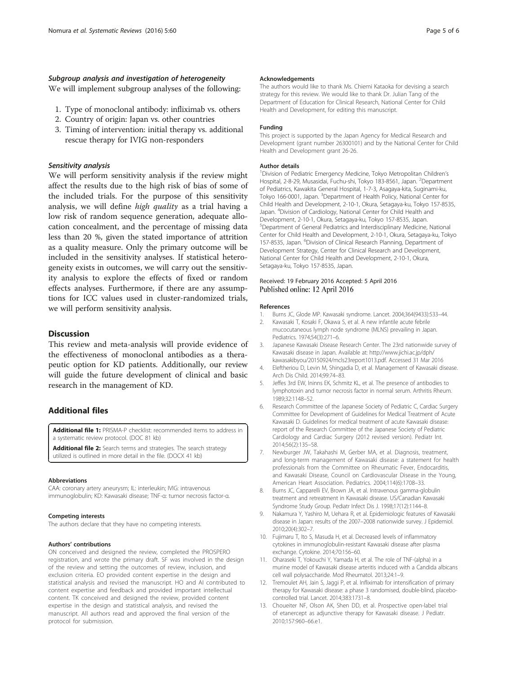#### <span id="page-4-0"></span>Subgroup analysis and investigation of heterogeneity

We will implement subgroup analyses of the following:

- 1. Type of monoclonal antibody: infliximab vs. others
- 2. Country of origin: Japan vs. other countries
- 3. Timing of intervention: initial therapy vs. additional rescue therapy for IVIG non-responders

#### Sensitivity analysis

We will perform sensitivity analysis if the review might affect the results due to the high risk of bias of some of the included trials. For the purpose of this sensitivity analysis, we will define *high quality* as a trial having a low risk of random sequence generation, adequate allocation concealment, and the percentage of missing data less than 20 %, given the stated importance of attrition as a quality measure. Only the primary outcome will be included in the sensitivity analyses. If statistical heterogeneity exists in outcomes, we will carry out the sensitivity analysis to explore the effects of fixed or random effects analyses. Furthermore, if there are any assumptions for ICC values used in cluster-randomized trials, we will perform sensitivity analysis.

## **Discussion**

This review and meta-analysis will provide evidence of the effectiveness of monoclonal antibodies as a therapeutic option for KD patients. Additionally, our review will guide the future development of clinical and basic research in the management of KD.

#### Additional files

[Additional file 1:](dx.doi.org/10.1186/s13643-016-0236-2) PRISMA-P checklist: recommended items to address in a systematic review protocol. (DOC 81 kb)

[Additional file 2:](dx.doi.org/10.1186/s13643-016-0236-2) Search terms and strategies. The search strategy utilized is outlined in more detail in the file. (DOCX 41 kb)

#### Abbreviations

CAA: coronary artery aneurysm; IL: interleukin; IVIG: intravenous immunoglobulin; KD: Kawasaki disease; TNF-α: tumor necrosis factor-α.

#### Competing interests

The authors declare that they have no competing interests.

#### Authors' contributions

ON conceived and designed the review, completed the PROSPERO registration, and wrote the primary draft. SF was involved in the design of the review and setting the outcomes of review, inclusion, and exclusion criteria. EO provided content expertise in the design and statistical analysis and revised the manuscript. HO and AI contributed to content expertise and feedback and provided important intellectual content. TK conceived and designed the review, provided content expertise in the design and statistical analysis, and revised the manuscript. All authors read and approved the final version of the protocol for submission.

#### Acknowledgements

The authors would like to thank Ms. Chiemi Kataoka for devising a search strategy for this review. We would like to thank Dr. Julian Tang of the Department of Education for Clinical Research, National Center for Child Health and Development, for editing this manuscript.

#### Funding

This project is supported by the Japan Agency for Medical Research and Development (grant number 26300101) and by the National Center for Child Health and Development grant 26-26.

#### Author details

<sup>1</sup> Division of Pediatric Emergency Medicine, Tokyo Metropolitan Children's Hospital, 2-8-29, Musasidai, Fuchu-shi, Tokyo 183-8561, Japan. <sup>2</sup>Department of Pediatrics, Kawakita General Hospital, 1-7-3, Asagaya-kita, Suginami-ku, Tokyo 166-0001, Japan. <sup>3</sup>Department of Health Policy, National Center for Child Health and Development, 2-10-1, Okura, Setagaya-ku, Tokyo 157-8535, Japan. <sup>4</sup> Division of Cardiology, National Center for Child Health and Development, 2-10-1, Okura, Setagaya-ku, Tokyo 157-8535, Japan. 5 Department of General Pediatrics and Interdisciplinary Medicine, National Center for Child Health and Development, 2-10-1, Okura, Setagaya-ku, Tokyo 157-8535, Japan. <sup>6</sup> Division of Clinical Research Planning, Department of Development Strategy, Center for Clinical Research and Development, National Center for Child Health and Development, 2-10-1, Okura, Setagaya-ku, Tokyo 157-8535, Japan.

#### Received: 19 February 2016 Accepted: 5 April 2016 Published online: 12 April 2016

#### References

- 1. Burns JC, Glode MP. Kawasaki syndrome. Lancet. 2004;364(9433):533–44.
- 2. Kawasaki T, Kosaki F, Okawa S, et al. A new infantile acute febrile mucocutaneous lymph node syndrome (MLNS) prevailing in Japan. Pediatrics. 1974;54(3):271–6.
- 3. Japanese Kawasaki Disease Research Center. The 23rd nationwide survey of Kawasaki disease in Japan. Available at: [http://www.jichi.ac.jp/dph/](http://www.jichi.ac.jp/dph/kawasakibyou/20150924/mcls23report1013.pdf) [kawasakibyou/20150924/mcls23report1013.pdf.](http://www.jichi.ac.jp/dph/kawasakibyou/20150924/mcls23report1013.pdf) Accessed 31 Mar 2016
- 4. Eleftheriou D, Levin M, Shingadia D, et al. Management of Kawasaki disease. Arch Dis Child. 2014;99:74–83.
- 5. Jeffes 3rd EW, Ininns EK, Schmitz KL, et al. The presence of antibodies to lymphotoxin and tumor necrosis factor in normal serum. Arthritis Rheum. 1989;32:1148–52.
- 6. Research Committee of the Japanese Society of Pediatric C, Cardiac Surgery Committee for Development of Guidelines for Medical Treatment of Acute Kawasaki D. Guidelines for medical treatment of acute Kawasaki disease: report of the Research Committee of the Japanese Society of Pediatric Cardiology and Cardiac Surgery (2012 revised version). Pediatr Int. 2014;56(2):135–58.
- 7. Newburger JW, Takahashi M, Gerber MA, et al. Diagnosis, treatment, and long-term management of Kawasaki disease: a statement for health professionals from the Committee on Rheumatic Fever, Endocarditis, and Kawasaki Disease, Council on Cardiovascular Disease in the Young, American Heart Association. Pediatrics. 2004;114(6):1708–33.
- 8. Burns JC, Capparelli EV, Brown JA, et al. Intravenous gamma-globulin treatment and retreatment in Kawasaki disease. US/Canadian Kawasaki Syndrome Study Group. Pediatr Infect Dis J. 1998;17(12):1144–8.
- 9. Nakamura Y, Yashiro M, Uehara R, et al. Epidemiologic features of Kawasaki disease in Japan: results of the 2007–2008 nationwide survey. J Epidemiol. 2010;20(4):302–7.
- 10. Fujimaru T, Ito S, Masuda H, et al. Decreased levels of inflammatory cytokines in immunoglobulin-resistant Kawasaki disease after plasma exchange. Cytokine. 2014;70:156–60.
- 11. Oharaseki T, Yokouchi Y, Yamada H, et al. The role of TNF-(alpha) in a murine model of Kawasaki disease arteritis induced with a Candida albicans cell wall polysaccharide. Mod Rheumatol. 2013;24:1–9.
- 12. Tremoulet AH, Jain S, Jaggi P, et al. Infliximab for intensification of primary therapy for Kawasaki disease: a phase 3 randomised, double-blind, placebocontrolled trial. Lancet. 2014;383:1731–8.
- 13. Choueiter NF, Olson AK, Shen DD, et al. Prospective open-label trial of etanercept as adjunctive therapy for Kawasaki disease. J Pediatr. 2010;157:960–66.e1.